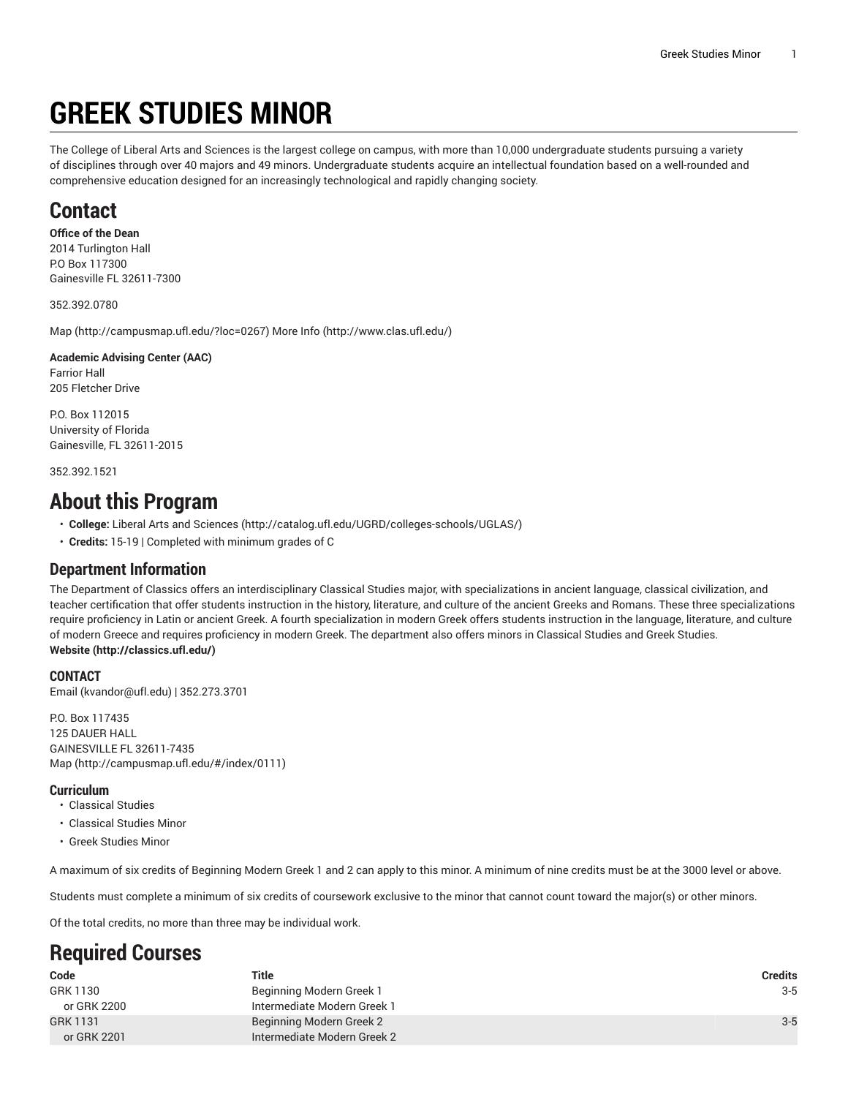# **GREEK STUDIES MINOR**

The College of Liberal Arts and Sciences is the largest college on campus, with more than 10,000 undergraduate students pursuing a variety of disciplines through over 40 majors and 49 minors. Undergraduate students acquire an intellectual foundation based on a well-rounded and comprehensive education designed for an increasingly technological and rapidly changing society.

### **Contact**

#### **Office of the Dean**

2014 Turlington Hall P.O Box 117300 Gainesville FL 32611-7300

352.392.0780

[Map](http://campusmap.ufl.edu/?loc=0267) ([http://campusmap.ufl.edu/?loc=0267\)](http://campusmap.ufl.edu/?loc=0267) [More](http://www.clas.ufl.edu/) Info ([http://www.clas.ufl.edu/\)](http://www.clas.ufl.edu/)

#### **Academic Advising Center (AAC)** Farrior Hall 205 Fletcher Drive

P.O. Box 112015 University of Florida Gainesville, FL 32611-2015

352.392.1521

### **About this Program**

- **College:** Liberal Arts and [Sciences](http://catalog.ufl.edu/UGRD/colleges-schools/UGLAS/) ([http://catalog.ufl.edu/UGRD/colleges-schools/UGLAS/\)](http://catalog.ufl.edu/UGRD/colleges-schools/UGLAS/)
- **Credits:** 15-19 | Completed with minimum grades of C

### **Department Information**

The Department of Classics offers an interdisciplinary Classical Studies major, with specializations in ancient language, classical civilization, and teacher certification that offer students instruction in the history, literature, and culture of the ancient Greeks and Romans. These three specializations require proficiency in Latin or ancient Greek. A fourth specialization in modern Greek offers students instruction in the language, literature, and culture of modern Greece and requires proficiency in modern Greek. The department also offers minors in Classical Studies and Greek Studies. **[Website](http://classics.ufl.edu/) ([http://classics.ufl.edu/\)](http://classics.ufl.edu/)**

### **CONTACT**

[Email](mailto:kvandor@ufl.edu) (<kvandor@ufl.edu>) | 352.273.3701

P.O. Box 117435 125 DAUER HALL GAINESVILLE FL 32611-7435 [Map](http://campusmap.ufl.edu/#/index/0111) ([http://campusmap.ufl.edu/#/index/0111\)](http://campusmap.ufl.edu/#/index/0111)

### **Curriculum**

- Classical Studies
- Classical Studies Minor
- Greek Studies Minor

A maximum of six credits of Beginning Modern Greek 1 and 2 can apply to this minor. A minimum of nine credits must be at the 3000 level or above.

Students must complete a minimum of six credits of coursework exclusive to the minor that cannot count toward the major(s) or other minors.

Of the total credits, no more than three may be individual work.

## **Required Courses**

| Code        | Title                       | Credits |
|-------------|-----------------------------|---------|
| GRK 1130    | Beginning Modern Greek 1    | $3 - 5$ |
| or GRK 2200 | Intermediate Modern Greek 1 |         |
| GRK 1131    | Beginning Modern Greek 2    | $3 - 5$ |
| or GRK 2201 | Intermediate Modern Greek 2 |         |